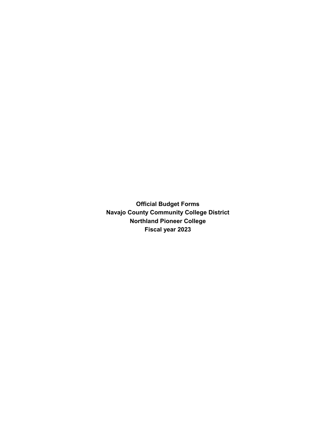**Official Budget Forms Navajo County Community College District Northland Pioneer College Fiscal year 2023**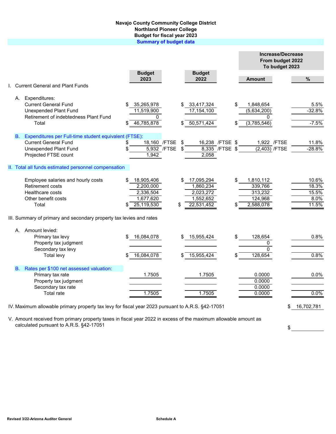## **Navajo County Community College District Northland Pioneer College Budget for fiscal year 2023 Summary of budget data**

|      |                                                                                                   |                       |             |     |                       |                 |                  | <b>Increase/Decrease</b><br>From budget 2022<br>To budget 2023 |            |
|------|---------------------------------------------------------------------------------------------------|-----------------------|-------------|-----|-----------------------|-----------------|------------------|----------------------------------------------------------------|------------|
|      |                                                                                                   | <b>Budget</b><br>2023 |             |     | <b>Budget</b><br>2022 |                 |                  |                                                                |            |
|      | I. Current General and Plant Funds                                                                |                       |             |     |                       |                 | <b>Amount</b>    |                                                                | %          |
|      | A. Expenditures:                                                                                  |                       |             |     |                       |                 |                  |                                                                |            |
|      | <b>Current General Fund</b>                                                                       | 35,265,978            |             |     | 33,417,324            |                 | \$<br>1,848,654  |                                                                | 5.5%       |
|      | <b>Unexpended Plant Fund</b>                                                                      | 11,519,900            |             |     | 17,154,100            |                 | (5,634,200)      |                                                                | $-32.8%$   |
|      | Retirement of indebtedness Plant Fund                                                             | 0                     |             |     |                       |                 | <sup>0</sup>     |                                                                |            |
|      | Total                                                                                             | 46,785,878            |             |     | 50,571,424            |                 | (3,785,546)      |                                                                | $-7.5%$    |
| B. . | Expenditures per Full-time student equivalent (FTSE):                                             |                       |             |     |                       |                 |                  |                                                                |            |
|      | <b>Current General Fund</b>                                                                       | 18,160 /FTSE          |             | -\$ | 16,238 / FTSE \$      |                 | 1,922 / FTSE     |                                                                | 11.8%      |
|      | <b>Unexpended Plant Fund</b>                                                                      |                       | 5,932 /FTSE | \$  |                       | 8,335 / FTSE \$ | (2,403) /FTSE    |                                                                | $-28.8%$   |
|      | Projected FTSE count                                                                              | 1,942                 |             |     | 2,058                 |                 |                  |                                                                |            |
|      | II. Total all funds estimated personnel compensation                                              |                       |             |     |                       |                 |                  |                                                                |            |
|      | Employee salaries and hourly costs                                                                | 18,905,406            |             | \$  | 17,095,294            |                 | \$<br>1,810,112  |                                                                | 10.6%      |
|      | <b>Retirement costs</b>                                                                           | 2,200,000             |             |     | 1,860,234             |                 | 339,766          |                                                                | 18.3%      |
|      | Healthcare costs                                                                                  | 2,336,504             |             |     | 2,023,272             |                 | 313,232          |                                                                | 15.5%      |
|      | Other benefit costs                                                                               | 1,677,620             |             |     | 1,552,652             |                 | 124,968          |                                                                | 8.0%       |
|      | Total                                                                                             | 25,119,530            |             | \$  | 22,531,452            |                 | 2,588,078        |                                                                | 11.5%      |
|      | III. Summary of primary and secondary property tax levies and rates                               |                       |             |     |                       |                 |                  |                                                                |            |
|      | A. Amount levied:                                                                                 |                       |             |     |                       |                 |                  |                                                                |            |
|      | Primary tax levy                                                                                  | 16,084,078            |             |     | 15,955,424            |                 | \$<br>128,654    |                                                                | 0.8%       |
|      | Property tax judgment                                                                             |                       |             |     |                       |                 | 0                |                                                                |            |
|      | Secondary tax levy                                                                                |                       |             |     |                       |                 | $\Omega$         |                                                                | 0.8%       |
|      | Total levy                                                                                        | 16,084,078            |             |     | 15,955,424            |                 | 128,654          |                                                                |            |
|      | B. Rates per \$100 net assessed valuation:                                                        |                       |             |     |                       |                 |                  |                                                                |            |
|      | Primary tax rate                                                                                  | 1.7505                |             |     | 1.7505                |                 | 0.0000           |                                                                | 0.0%       |
|      | Property tax judgment                                                                             |                       |             |     |                       |                 | 0.0000           |                                                                |            |
|      | Secondary tax rate<br><b>Total rate</b>                                                           | 1.7505                |             |     | 1.7505                |                 | 0.0000<br>0.0000 |                                                                | 0.0%       |
|      |                                                                                                   |                       |             |     |                       |                 |                  |                                                                |            |
|      | IV. Maximum allowable primary property tax levy for fiscal year 2023 pursuant to A.R.S. §42-17051 |                       |             |     |                       |                 |                  | \$                                                             | 16,702,781 |

V. Amount received from primary property taxes in fiscal year 2022 in excess of the maximum allowable amount as calculated pursuant to A.R.S. §42-17051

**Revised 3/22-Arizona Auditor General Schedule A**

 $\frac{1}{2}$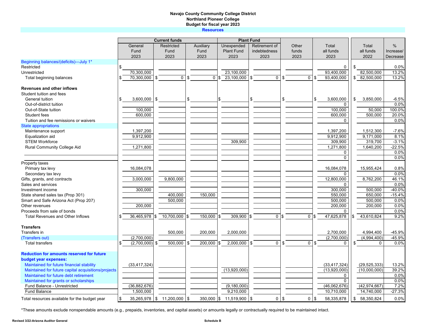## **Navajo County Community College District Northland Pioneer College Budget for fiscal year 2023**

**Resources**

|                                                     | <b>Current funds</b> |                |    |                            |    |                 | <b>Plant Fund</b> |                   |    |               |     |             |      |                |            |                |           |
|-----------------------------------------------------|----------------------|----------------|----|----------------------------|----|-----------------|-------------------|-------------------|----|---------------|-----|-------------|------|----------------|------------|----------------|-----------|
|                                                     |                      | General        |    | Restricted                 |    | Auxiliary       |                   | Unexpended        |    | Retirement of |     | Other       |      | Total          |            | Total          | $\%$      |
|                                                     |                      | Fund           |    | Fund                       |    | Fund            |                   | <b>Plant Fund</b> |    | indebtedness  |     | funds       |      | all funds      |            | all funds      | Increase/ |
|                                                     |                      | 2023           |    | 2023                       |    | 2023            |                   | 2023              |    | 2023          |     | 2023        |      | 2023           |            | 2022           | Decrease  |
| Beginning balances/(deficits)-July 1*               |                      |                |    |                            |    |                 |                   |                   |    |               |     |             |      |                |            |                |           |
| Restricted                                          | S                    |                |    |                            |    |                 |                   |                   |    |               |     |             |      | 0              | - \$       |                | 0.0%      |
| Unrestricted                                        |                      | 70,300,000     |    |                            |    |                 |                   | 23,100,000        |    |               |     |             |      | 93.400.000     |            | 82,500,000     | 13.2%     |
| Total beginning balances                            |                      | 70,300,000 \$  |    | $\mathbf 0$                | \$ | 0 <sup>15</sup> |                   | 23,100,000        | \$ | $\Omega$      | \$  | 0           | l \$ | 93,400,000     |            | \$82,500,000   | 13.2%     |
| Revenues and other inflows                          |                      |                |    |                            |    |                 |                   |                   |    |               |     |             |      |                |            |                |           |
| Student tuition and fees                            |                      |                |    |                            |    |                 |                   |                   |    |               |     |             |      |                |            |                |           |
| General tuition                                     | \$                   | $3,600,000$ \$ |    |                            | \$ |                 |                   |                   | \$ |               | \$  |             | \$   | 3,600,000      | \$         | 3,850,000      | $-6.5%$   |
| Out-of-district tuition                             |                      |                |    |                            |    |                 |                   |                   |    |               |     |             |      | $\Omega$       |            |                | 0.0%      |
| Out-of-State tuition                                |                      | 100,000        |    |                            |    |                 |                   |                   |    |               |     |             |      | 100,000        |            | 50.000         | 100.0%    |
| Student fees                                        |                      | 600,000        |    |                            |    |                 |                   |                   |    |               |     |             |      | 600,000        |            | 500,000        | 20.0%     |
| Tuition and fee remissions or waivers               |                      |                |    |                            |    |                 |                   |                   |    |               |     |             |      | $\Omega$       |            |                | 0.0%      |
| <b>State appropriations</b>                         |                      |                |    |                            |    |                 |                   |                   |    |               |     |             |      |                |            |                |           |
| Maintenance support                                 |                      | 1,397,200      |    |                            |    |                 |                   |                   |    |               |     |             |      | 1,397,200      |            | 1,512,300      | $-7.6%$   |
| Equalization aid                                    |                      | 9,912,900      |    |                            |    |                 |                   |                   |    |               |     |             |      | 9,912,900      |            | 9,171,000      | 8.1%      |
| <b>STEM Workforce</b>                               |                      |                |    |                            |    |                 |                   | 309,900           |    |               |     |             |      | 309,900        |            | 319,700        | $-3.1%$   |
| <b>Rural Community College Aid</b>                  |                      | 1,271,800      |    |                            |    |                 |                   |                   |    |               |     |             |      | 1,271,800      |            | 1,640,200      | $-22.5%$  |
|                                                     |                      |                |    |                            |    |                 |                   |                   |    |               |     |             |      | 0              |            |                | 0.0%      |
|                                                     |                      |                |    |                            |    |                 |                   |                   |    |               |     |             |      | $\Omega$       |            |                | 0.0%      |
| Property taxes                                      |                      |                |    |                            |    |                 |                   |                   |    |               |     |             |      |                |            |                |           |
| Primary tax levy                                    |                      | 16,084,078     |    |                            |    |                 |                   |                   |    |               |     |             |      | 16,084,078     |            | 15,955,424     | 0.8%      |
| Secondary tax levy                                  |                      |                |    |                            |    |                 |                   |                   |    |               |     |             |      | $\Omega$       |            |                | 0.0%      |
| Gifts, grants, and contracts                        |                      | 3,000,000      |    | 9,800,000                  |    |                 |                   |                   |    |               |     |             |      | 12,800,000     |            | 8,762,200      | 46.1%     |
| Sales and services                                  |                      |                |    |                            |    |                 |                   |                   |    |               |     |             |      | $\Omega$       |            |                | 0.0%      |
| Investment income                                   |                      | 300,000        |    |                            |    |                 |                   |                   |    |               |     |             |      | 300,000        |            | 500,000        | $-40.0%$  |
| State shared sales tax (Prop 301)                   |                      |                |    | 400,000                    |    | 150,000         |                   |                   |    |               |     |             |      | 550,000        |            | 650,000        | $-15.4%$  |
| Smart and Safe Arizona Act (Prop 207)               |                      |                |    | 500,000                    |    |                 |                   |                   |    |               |     |             |      | 500,000        |            | 500,000        | 0.0%      |
| Other revenues                                      |                      | 200,000        |    |                            |    |                 |                   |                   |    |               |     |             |      | 200,000        |            | 200,000        | 0.0%      |
| Proceeds from sale of bonds                         |                      |                |    |                            |    |                 |                   |                   |    |               |     |             |      | $\Omega$       |            |                | 0.0%      |
| <b>Total Revenues and Other Inflows</b>             |                      | 36,465,978     | S  | 10,700,000 \$              |    | 150,000         | l\$               | $309,900$ \$      |    | $\mathbf{0}$  | l\$ | $\mathbf 0$ |      | 47,625,878     |            | 43,610,824     | 9.2%      |
|                                                     |                      |                |    |                            |    |                 |                   |                   |    |               |     |             |      |                |            |                |           |
| <b>Transfers</b>                                    |                      |                |    |                            |    |                 |                   |                   |    |               |     |             |      |                |            |                |           |
| Transfers in                                        |                      |                |    | 500,000                    |    | 200,000         |                   | 2,000,000         |    |               |     |             |      | 2,700,000      |            | 4,994,400      | -45.9%    |
| (Transfers out)                                     |                      | (2,700,000)    |    |                            |    |                 |                   |                   |    |               |     |             |      | (2,700,000)    |            | (4,994,400)    | -45.9%    |
| <b>Total transfers</b>                              |                      | (2,700,000)    | \$ | 500,000                    | \$ | 200,000         |                   | 2,000,000         | \$ | $\Omega$      | \$  | $\mathbf 0$ | l \$ | $\Omega$       | \$         | $\Omega$       | 0.0%      |
| <b>Reduction for amounts reserved for future</b>    |                      |                |    |                            |    |                 |                   |                   |    |               |     |             |      |                |            |                |           |
| budget year expenses:                               |                      |                |    |                            |    |                 |                   |                   |    |               |     |             |      |                |            |                |           |
| Maintained for future financial stability           |                      | (33, 417, 324) |    |                            |    |                 |                   |                   |    |               |     |             |      | (33, 417, 324) |            | (29, 525, 333) | 13.2%     |
| Maintained for future capital acquisitions/projects |                      |                |    |                            |    |                 |                   | (13,920,000)      |    |               |     |             |      | (13,920,000)   |            | (10,000,000)   | 39.2%     |
| Maintained for future debt retirement               |                      |                |    |                            |    |                 |                   |                   |    |               |     |             |      | 0              |            |                | 0.0%      |
| Maintained for grants or scholarships               |                      |                |    |                            |    |                 |                   |                   |    |               |     |             |      | $\overline{0}$ |            |                | 0.0%      |
| Fund Balance - Unrestricted                         |                      | (36, 882, 676) |    |                            |    |                 |                   | (9, 180, 000)     |    |               |     |             |      | (46,062,676)   |            | (42, 974, 667) | 7.2%      |
| <b>Fund Balance</b>                                 |                      | 1,500,000      |    |                            |    |                 |                   | 9,210,000         |    |               |     |             |      | 10,710,000     |            | 14,740,000     | $-27.3%$  |
| Total resources available for the budget year       | \$                   |                |    | 35,265,978   \$ 11,200,000 | \$ | $350,000$ \$    |                   | 11,519,900 \$     |    | $\Omega$      | \$  | $\mathbf 0$ | l \$ | 58,335,878     | $\sqrt{3}$ | 58,350,824     | 0.0%      |

\*These amounts exclude nonspendable amounts (e.g., prepaids, inventories, and capital assets) or amounts legally or contractually required to be maintained intact.